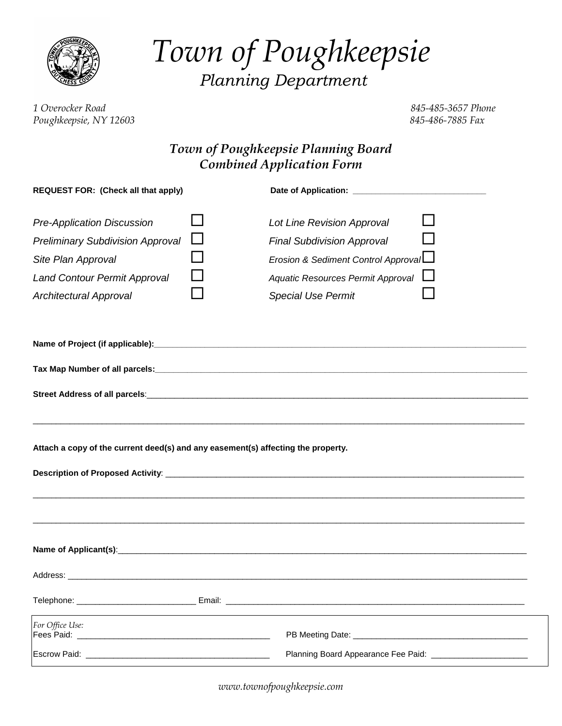

*Town of Poughkeepsie Planning Department*

*1 Overocker Road 845-485-3657 Phone Poughkeepsie, NY 12603 845-486-7885 Fax*

# *Town of Poughkeepsie Planning Board Combined Application Form*

| <b>REQUEST FOR: (Check all that apply)</b>                                                                                                                                 |  |                                                                                                                                                                          |  |  |
|----------------------------------------------------------------------------------------------------------------------------------------------------------------------------|--|--------------------------------------------------------------------------------------------------------------------------------------------------------------------------|--|--|
| <b>Pre-Application Discussion</b><br><b>Preliminary Subdivision Approval</b><br>Site Plan Approval<br><b>Land Contour Permit Approval</b><br><b>Architectural Approval</b> |  | Lot Line Revision Approval<br><b>Final Subdivision Approval</b><br>Erosion & Sediment Control Approval<br>Aquatic Resources Permit Approval<br><b>Special Use Permit</b> |  |  |
|                                                                                                                                                                            |  |                                                                                                                                                                          |  |  |
|                                                                                                                                                                            |  |                                                                                                                                                                          |  |  |
|                                                                                                                                                                            |  |                                                                                                                                                                          |  |  |
| Attach a copy of the current deed(s) and any easement(s) affecting the property.                                                                                           |  |                                                                                                                                                                          |  |  |
|                                                                                                                                                                            |  |                                                                                                                                                                          |  |  |
|                                                                                                                                                                            |  |                                                                                                                                                                          |  |  |
|                                                                                                                                                                            |  |                                                                                                                                                                          |  |  |
| For Office Use:<br>Fees Paid: North States and States and States and States and States and States and States and States and States                                         |  | PB Meeting Date: Network and the state of the state of the state of the state of the state of the state of the                                                           |  |  |
|                                                                                                                                                                            |  | Planning Board Appearance Fee Paid: ________________________                                                                                                             |  |  |

*[www.townofpoughkeepsie.com](http://www.townofpoughkeepsie.com/)*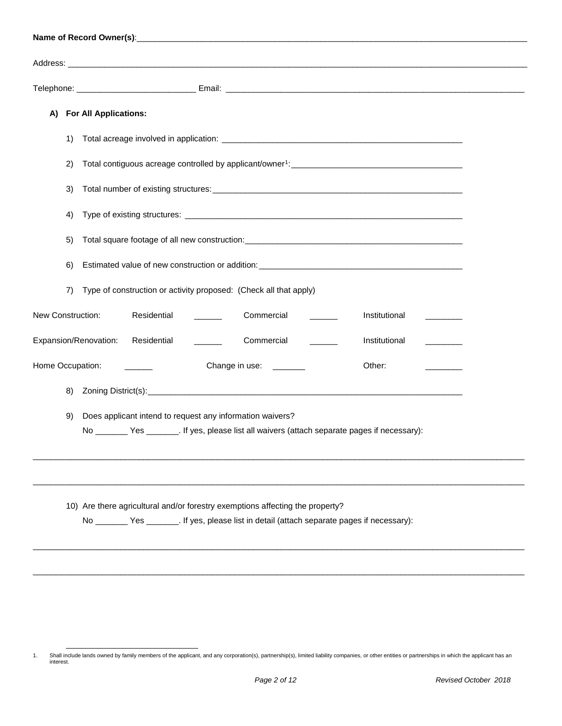| A)                                                                                                                                                                     | <b>For All Applications:</b>                                                                                                                                                            |  |  |  |
|------------------------------------------------------------------------------------------------------------------------------------------------------------------------|-----------------------------------------------------------------------------------------------------------------------------------------------------------------------------------------|--|--|--|
| 1)                                                                                                                                                                     |                                                                                                                                                                                         |  |  |  |
| 2)                                                                                                                                                                     |                                                                                                                                                                                         |  |  |  |
| 3)                                                                                                                                                                     |                                                                                                                                                                                         |  |  |  |
| 4)                                                                                                                                                                     |                                                                                                                                                                                         |  |  |  |
| 5)                                                                                                                                                                     |                                                                                                                                                                                         |  |  |  |
| 6)                                                                                                                                                                     |                                                                                                                                                                                         |  |  |  |
| 7)                                                                                                                                                                     | Type of construction or activity proposed: (Check all that apply)                                                                                                                       |  |  |  |
| New Construction:                                                                                                                                                      | Residential<br>Commercial<br>Institutional<br><u>and the state</u>                                                                                                                      |  |  |  |
|                                                                                                                                                                        | Expansion/Renovation:<br>Commercial<br>Residential<br>Institutional<br>$\mathcal{L}(\mathcal{L})$ . The set of $\mathcal{L}(\mathcal{L})$<br>$\sim 10^{11}$<br><b>Contract Contract</b> |  |  |  |
| Home Occupation:                                                                                                                                                       | Change in use: _______<br>Other:                                                                                                                                                        |  |  |  |
| 8)                                                                                                                                                                     |                                                                                                                                                                                         |  |  |  |
| Does applicant intend to request any information waivers?<br>9)<br>No ___________ Yes _________. If yes, please list all waivers (attach separate pages if necessary): |                                                                                                                                                                                         |  |  |  |
|                                                                                                                                                                        | 10) Are there agricultural and/or forestry exemptions affecting the property?<br>No _______ Yes _______. If yes, please list in detail (attach separate pages if necessary):            |  |  |  |
|                                                                                                                                                                        |                                                                                                                                                                                         |  |  |  |

<span id="page-1-0"></span><sup>1.</sup> Shall include lands owned by family members of the applicant, and any corporation(s), partnership(s), limited liability companies, or other entities or partnerships in which the applicant has an interest.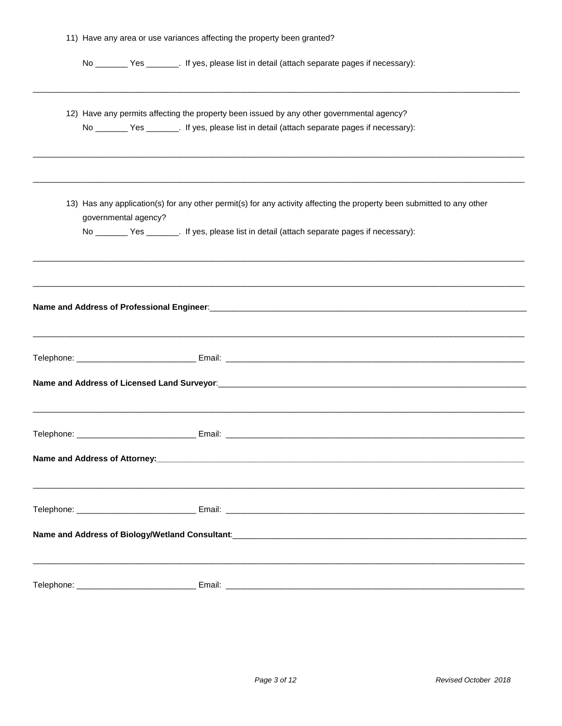| 11) Have any area or use variances affecting the property been granted? |  |                                                                                                                                                                                                                                                                                                                                                                 |  |
|-------------------------------------------------------------------------|--|-----------------------------------------------------------------------------------------------------------------------------------------------------------------------------------------------------------------------------------------------------------------------------------------------------------------------------------------------------------------|--|
|                                                                         |  | No _____________ Yes __________. If yes, please list in detail (attach separate pages if necessary):                                                                                                                                                                                                                                                            |  |
|                                                                         |  | ,我们也不能会在这里,我们的人们也不能会在这里,我们也不能会在这里,我们也不能会在这里,我们也不能会在这里,我们也不能会在这里,我们也不能会不能会不能会。<br>第2012章 我们的人们,我们的人们的人们,我们的人们的人们,我们的人们的人们,我们的人们的人们,我们的人们的人们,我们的人们的人们,我们的人们的人们,我们的人<br>12) Have any permits affecting the property been issued by any other governmental agency?<br>No ________ Yes ________. If yes, please list in detail (attach separate pages if necessary): |  |
| governmental agency?                                                    |  | 13) Has any application(s) for any other permit(s) for any activity affecting the property been submitted to any other<br>No _____________ Yes __________. If yes, please list in detail (attach separate pages if necessary):                                                                                                                                  |  |
|                                                                         |  |                                                                                                                                                                                                                                                                                                                                                                 |  |
|                                                                         |  |                                                                                                                                                                                                                                                                                                                                                                 |  |
|                                                                         |  |                                                                                                                                                                                                                                                                                                                                                                 |  |
|                                                                         |  |                                                                                                                                                                                                                                                                                                                                                                 |  |
|                                                                         |  |                                                                                                                                                                                                                                                                                                                                                                 |  |
|                                                                         |  |                                                                                                                                                                                                                                                                                                                                                                 |  |
|                                                                         |  |                                                                                                                                                                                                                                                                                                                                                                 |  |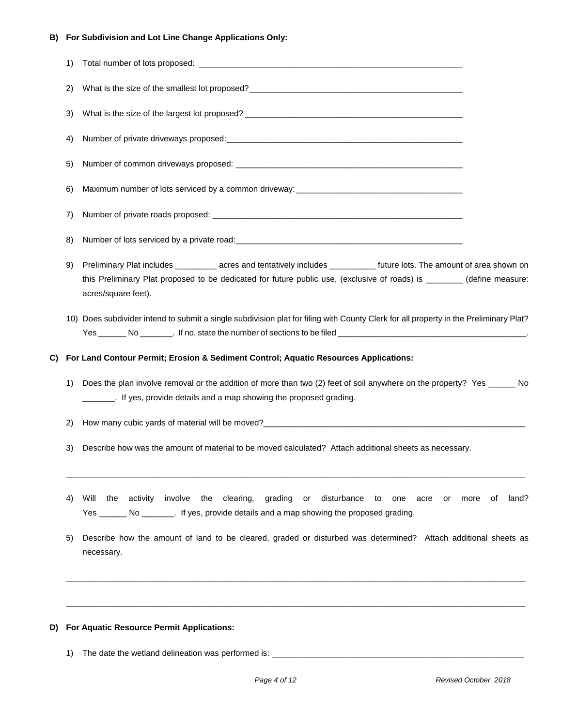### **B) For Subdivision and Lot Line Change Applications Only:**

| 1) |                                                                                                                                                                                                                                                                           |                     |
|----|---------------------------------------------------------------------------------------------------------------------------------------------------------------------------------------------------------------------------------------------------------------------------|---------------------|
| 2) |                                                                                                                                                                                                                                                                           |                     |
| 3) |                                                                                                                                                                                                                                                                           |                     |
| 4) |                                                                                                                                                                                                                                                                           |                     |
| 5) |                                                                                                                                                                                                                                                                           |                     |
| 6) |                                                                                                                                                                                                                                                                           |                     |
| 7) |                                                                                                                                                                                                                                                                           |                     |
| 8) |                                                                                                                                                                                                                                                                           |                     |
| 9) | Preliminary Plat includes __________ acres and tentatively includes ___________ future lots. The amount of area shown on<br>this Preliminary Plat proposed to be dedicated for future public use, (exclusive of roads) is ________(define measure:<br>acres/square feet). |                     |
|    | 10) Does subdivider intend to submit a single subdivision plat for filing with County Clerk for all property in the Preliminary Plat?                                                                                                                                     |                     |
| C) | For Land Contour Permit; Erosion & Sediment Control; Aquatic Resources Applications:                                                                                                                                                                                      |                     |
| 1) | Does the plan involve removal or the addition of more than two (2) feet of soil anywhere on the property? Yes ______ No<br>________. If yes, provide details and a map showing the proposed grading.                                                                      |                     |
| 2) |                                                                                                                                                                                                                                                                           |                     |
| 3) | Describe how was the amount of material to be moved calculated? Attach additional sheets as necessary.                                                                                                                                                                    |                     |
| 4) | Will<br>the activity involve the clearing, grading or disturbance to one<br>acre or<br>Yes _________ No _________. If yes, provide details and a map showing the proposed grading.                                                                                        | land?<br>more<br>of |
| 5) | Describe how the amount of land to be cleared, graded or disturbed was determined? Attach additional sheets as<br>necessary.                                                                                                                                              |                     |
|    |                                                                                                                                                                                                                                                                           |                     |

## **D) For Aquatic Resource Permit Applications:**

1) The date the wetland delineation was performed is: \_\_\_\_\_\_\_\_\_\_\_\_\_\_\_\_\_\_\_\_\_\_\_\_\_\_\_\_\_\_\_\_\_\_\_\_\_\_\_\_\_\_\_\_\_\_\_\_\_\_\_\_\_\_\_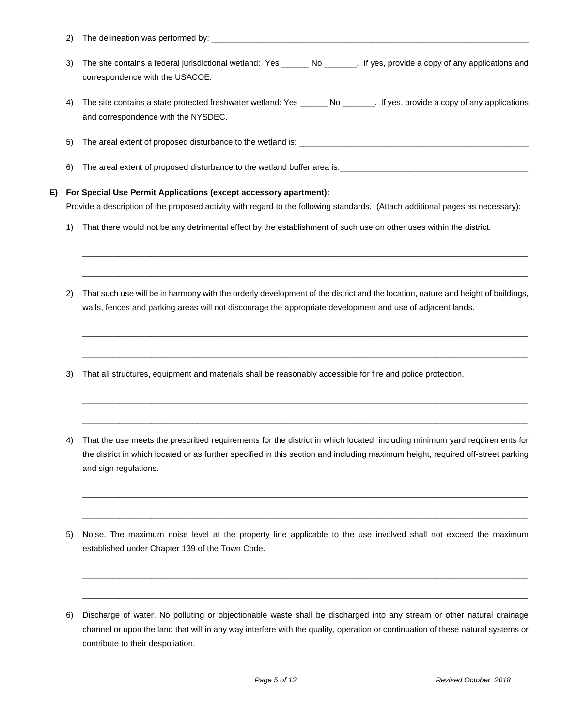- 2) The delineation was performed by: \_\_\_\_
- 3) The site contains a federal jurisdictional wetland: Yes \_\_\_\_\_\_ No \_\_\_\_\_\_\_. If yes, provide a copy of any applications and correspondence with the USACOE.
- 4) The site contains a state protected freshwater wetland: Yes \_\_\_\_\_\_\_ No \_\_\_\_\_\_\_. If yes, provide a copy of any applications and correspondence with the NYSDEC.
- 5) The areal extent of proposed disturbance to the wetland is: \_\_\_\_\_\_\_\_\_\_\_\_\_\_\_\_\_
- 6) The areal extent of proposed disturbance to the wetland buffer area is:

#### **E) For Special Use Permit Applications (except accessory apartment):**

Provide a description of the proposed activity with regard to the following standards. (Attach additional pages as necessary):

- 1) That there would not be any detrimental effect by the establishment of such use on other uses within the district.
- 2) That such use will be in harmony with the orderly development of the district and the location, nature and height of buildings, walls, fences and parking areas will not discourage the appropriate development and use of adjacent lands.

 $\_$  ,  $\_$  ,  $\_$  ,  $\_$  ,  $\_$  ,  $\_$  ,  $\_$  ,  $\_$  ,  $\_$  ,  $\_$  ,  $\_$  ,  $\_$  ,  $\_$  ,  $\_$  ,  $\_$  ,  $\_$  ,  $\_$  ,  $\_$  ,  $\_$  ,  $\_$  ,  $\_$  ,  $\_$  ,  $\_$  ,  $\_$  ,  $\_$  ,  $\_$  ,  $\_$  ,  $\_$  ,  $\_$  ,  $\_$  ,  $\_$  ,  $\_$  ,  $\_$  ,  $\_$  ,  $\_$  ,  $\_$  ,  $\_$  ,

 $\_$  ,  $\_$  ,  $\_$  ,  $\_$  ,  $\_$  ,  $\_$  ,  $\_$  ,  $\_$  ,  $\_$  ,  $\_$  ,  $\_$  ,  $\_$  ,  $\_$  ,  $\_$  ,  $\_$  ,  $\_$  ,  $\_$  ,  $\_$  ,  $\_$  ,  $\_$  ,  $\_$  ,  $\_$  ,  $\_$  ,  $\_$  ,  $\_$  ,  $\_$  ,  $\_$  ,  $\_$  ,  $\_$  ,  $\_$  ,  $\_$  ,  $\_$  ,  $\_$  ,  $\_$  ,  $\_$  ,  $\_$  ,  $\_$  ,

 $\_$  ,  $\_$  ,  $\_$  ,  $\_$  ,  $\_$  ,  $\_$  ,  $\_$  ,  $\_$  ,  $\_$  ,  $\_$  ,  $\_$  ,  $\_$  ,  $\_$  ,  $\_$  ,  $\_$  ,  $\_$  ,  $\_$  ,  $\_$  ,  $\_$  ,  $\_$  ,  $\_$  ,  $\_$  ,  $\_$  ,  $\_$  ,  $\_$  ,  $\_$  ,  $\_$  ,  $\_$  ,  $\_$  ,  $\_$  ,  $\_$  ,  $\_$  ,  $\_$  ,  $\_$  ,  $\_$  ,  $\_$  ,  $\_$  ,

 $\_$  ,  $\_$  ,  $\_$  ,  $\_$  ,  $\_$  ,  $\_$  ,  $\_$  ,  $\_$  ,  $\_$  ,  $\_$  ,  $\_$  ,  $\_$  ,  $\_$  ,  $\_$  ,  $\_$  ,  $\_$  ,  $\_$  ,  $\_$  ,  $\_$  ,  $\_$  ,  $\_$  ,  $\_$  ,  $\_$  ,  $\_$  ,  $\_$  ,  $\_$  ,  $\_$  ,  $\_$  ,  $\_$  ,  $\_$  ,  $\_$  ,  $\_$  ,  $\_$  ,  $\_$  ,  $\_$  ,  $\_$  ,  $\_$  ,

 $\_$  ,  $\_$  ,  $\_$  ,  $\_$  ,  $\_$  ,  $\_$  ,  $\_$  ,  $\_$  ,  $\_$  ,  $\_$  ,  $\_$  ,  $\_$  ,  $\_$  ,  $\_$  ,  $\_$  ,  $\_$  ,  $\_$  ,  $\_$  ,  $\_$  ,  $\_$  ,  $\_$  ,  $\_$  ,  $\_$  ,  $\_$  ,  $\_$  ,  $\_$  ,  $\_$  ,  $\_$  ,  $\_$  ,  $\_$  ,  $\_$  ,  $\_$  ,  $\_$  ,  $\_$  ,  $\_$  ,  $\_$  ,  $\_$  ,

 $\_$  ,  $\_$  ,  $\_$  ,  $\_$  ,  $\_$  ,  $\_$  ,  $\_$  ,  $\_$  ,  $\_$  ,  $\_$  ,  $\_$  ,  $\_$  ,  $\_$  ,  $\_$  ,  $\_$  ,  $\_$  ,  $\_$  ,  $\_$  ,  $\_$  ,  $\_$  ,  $\_$  ,  $\_$  ,  $\_$  ,  $\_$  ,  $\_$  ,  $\_$  ,  $\_$  ,  $\_$  ,  $\_$  ,  $\_$  ,  $\_$  ,  $\_$  ,  $\_$  ,  $\_$  ,  $\_$  ,  $\_$  ,  $\_$  ,

 $\_$  ,  $\_$  ,  $\_$  ,  $\_$  ,  $\_$  ,  $\_$  ,  $\_$  ,  $\_$  ,  $\_$  ,  $\_$  ,  $\_$  ,  $\_$  ,  $\_$  ,  $\_$  ,  $\_$  ,  $\_$  ,  $\_$  ,  $\_$  ,  $\_$  ,  $\_$  ,  $\_$  ,  $\_$  ,  $\_$  ,  $\_$  ,  $\_$  ,  $\_$  ,  $\_$  ,  $\_$  ,  $\_$  ,  $\_$  ,  $\_$  ,  $\_$  ,  $\_$  ,  $\_$  ,  $\_$  ,  $\_$  ,  $\_$  ,

 $\_$  ,  $\_$  ,  $\_$  ,  $\_$  ,  $\_$  ,  $\_$  ,  $\_$  ,  $\_$  ,  $\_$  ,  $\_$  ,  $\_$  ,  $\_$  ,  $\_$  ,  $\_$  ,  $\_$  ,  $\_$  ,  $\_$  ,  $\_$  ,  $\_$  ,  $\_$  ,  $\_$  ,  $\_$  ,  $\_$  ,  $\_$  ,  $\_$  ,  $\_$  ,  $\_$  ,  $\_$  ,  $\_$  ,  $\_$  ,  $\_$  ,  $\_$  ,  $\_$  ,  $\_$  ,  $\_$  ,  $\_$  ,  $\_$  ,

 $\_$  ,  $\_$  ,  $\_$  ,  $\_$  ,  $\_$  ,  $\_$  ,  $\_$  ,  $\_$  ,  $\_$  ,  $\_$  ,  $\_$  ,  $\_$  ,  $\_$  ,  $\_$  ,  $\_$  ,  $\_$  ,  $\_$  ,  $\_$  ,  $\_$  ,  $\_$  ,  $\_$  ,  $\_$  ,  $\_$  ,  $\_$  ,  $\_$  ,  $\_$  ,  $\_$  ,  $\_$  ,  $\_$  ,  $\_$  ,  $\_$  ,  $\_$  ,  $\_$  ,  $\_$  ,  $\_$  ,  $\_$  ,  $\_$  ,

 $\_$  ,  $\_$  ,  $\_$  ,  $\_$  ,  $\_$  ,  $\_$  ,  $\_$  ,  $\_$  ,  $\_$  ,  $\_$  ,  $\_$  ,  $\_$  ,  $\_$  ,  $\_$  ,  $\_$  ,  $\_$  ,  $\_$  ,  $\_$  ,  $\_$  ,  $\_$  ,  $\_$  ,  $\_$  ,  $\_$  ,  $\_$  ,  $\_$  ,  $\_$  ,  $\_$  ,  $\_$  ,  $\_$  ,  $\_$  ,  $\_$  ,  $\_$  ,  $\_$  ,  $\_$  ,  $\_$  ,  $\_$  ,  $\_$  ,

- 3) That all structures, equipment and materials shall be reasonably accessible for fire and police protection.
- 4) That the use meets the prescribed requirements for the district in which located, including minimum yard requirements for the district in which located or as further specified in this section and including maximum height, required off-street parking and sign regulations.
- 5) Noise. The maximum noise level at the property line applicable to the use involved shall not exceed the maximum established under Chapter 139 of the Town Code.

<sup>6)</sup> Discharge of water. No polluting or objectionable waste shall be discharged into any stream or other natural drainage channel or upon the land that will in any way interfere with the quality, operation or continuation of these natural systems or contribute to their despoliation.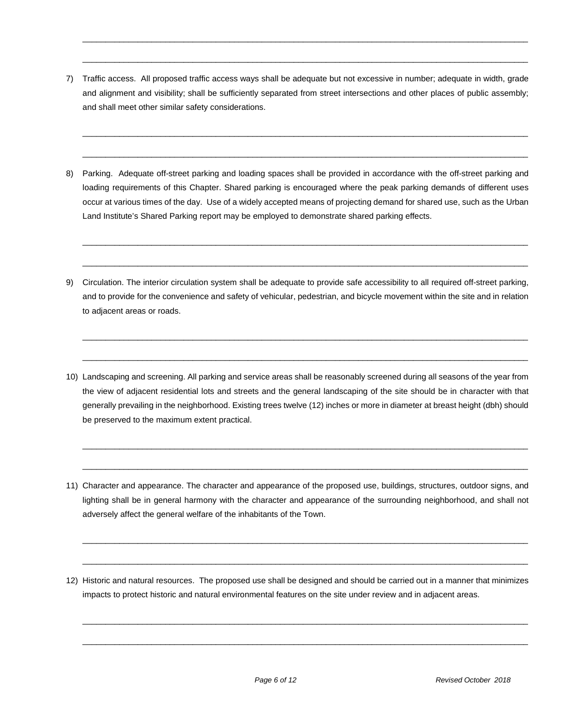7) Traffic access. All proposed traffic access ways shall be adequate but not excessive in number; adequate in width, grade and alignment and visibility; shall be sufficiently separated from street intersections and other places of public assembly; and shall meet other similar safety considerations.

 $\_$  ,  $\_$  ,  $\_$  ,  $\_$  ,  $\_$  ,  $\_$  ,  $\_$  ,  $\_$  ,  $\_$  ,  $\_$  ,  $\_$  ,  $\_$  ,  $\_$  ,  $\_$  ,  $\_$  ,  $\_$  ,  $\_$  ,  $\_$  ,  $\_$  ,  $\_$  ,  $\_$  ,  $\_$  ,  $\_$  ,  $\_$  ,  $\_$  ,  $\_$  ,  $\_$  ,  $\_$  ,  $\_$  ,  $\_$  ,  $\_$  ,  $\_$  ,  $\_$  ,  $\_$  ,  $\_$  ,  $\_$  ,  $\_$  ,

 $\overline{\phantom{a}}$  , and the set of the set of the set of the set of the set of the set of the set of the set of the set of the set of the set of the set of the set of the set of the set of the set of the set of the set of the s

 $\overline{\phantom{a}}$  , and the set of the set of the set of the set of the set of the set of the set of the set of the set of the set of the set of the set of the set of the set of the set of the set of the set of the set of the s

 $\_$  ,  $\_$  ,  $\_$  ,  $\_$  ,  $\_$  ,  $\_$  ,  $\_$  ,  $\_$  ,  $\_$  ,  $\_$  ,  $\_$  ,  $\_$  ,  $\_$  ,  $\_$  ,  $\_$  ,  $\_$  ,  $\_$  ,  $\_$  ,  $\_$  ,  $\_$  ,  $\_$  ,  $\_$  ,  $\_$  ,  $\_$  ,  $\_$  ,  $\_$  ,  $\_$  ,  $\_$  ,  $\_$  ,  $\_$  ,  $\_$  ,  $\_$  ,  $\_$  ,  $\_$  ,  $\_$  ,  $\_$  ,  $\_$  ,

8) Parking. Adequate off-street parking and loading spaces shall be provided in accordance with the off-street parking and loading requirements of this Chapter. Shared parking is encouraged where the peak parking demands of different uses occur at various times of the day. Use of a widely accepted means of projecting demand for shared use, such as the Urban Land Institute's Shared Parking report may be employed to demonstrate shared parking effects.

 $\overline{\phantom{a}}$  , and the set of the set of the set of the set of the set of the set of the set of the set of the set of the set of the set of the set of the set of the set of the set of the set of the set of the set of the s

 $\_$  ,  $\_$  ,  $\_$  ,  $\_$  ,  $\_$  ,  $\_$  ,  $\_$  ,  $\_$  ,  $\_$  ,  $\_$  ,  $\_$  ,  $\_$  ,  $\_$  ,  $\_$  ,  $\_$  ,  $\_$  ,  $\_$  ,  $\_$  ,  $\_$  ,  $\_$  ,  $\_$  ,  $\_$  ,  $\_$  ,  $\_$  ,  $\_$  ,  $\_$  ,  $\_$  ,  $\_$  ,  $\_$  ,  $\_$  ,  $\_$  ,  $\_$  ,  $\_$  ,  $\_$  ,  $\_$  ,  $\_$  ,  $\_$  ,

 $\overline{\phantom{a}}$  , and the set of the set of the set of the set of the set of the set of the set of the set of the set of the set of the set of the set of the set of the set of the set of the set of the set of the set of the s

 $\_$  ,  $\_$  ,  $\_$  ,  $\_$  ,  $\_$  ,  $\_$  ,  $\_$  ,  $\_$  ,  $\_$  ,  $\_$  ,  $\_$  ,  $\_$  ,  $\_$  ,  $\_$  ,  $\_$  ,  $\_$  ,  $\_$  ,  $\_$  ,  $\_$  ,  $\_$  ,  $\_$  ,  $\_$  ,  $\_$  ,  $\_$  ,  $\_$  ,  $\_$  ,  $\_$  ,  $\_$  ,  $\_$  ,  $\_$  ,  $\_$  ,  $\_$  ,  $\_$  ,  $\_$  ,  $\_$  ,  $\_$  ,  $\_$  ,

- 9) Circulation. The interior circulation system shall be adequate to provide safe accessibility to all required off-street parking, and to provide for the convenience and safety of vehicular, pedestrian, and bicycle movement within the site and in relation to adjacent areas or roads.
- 10) Landscaping and screening. All parking and service areas shall be reasonably screened during all seasons of the year from the view of adjacent residential lots and streets and the general landscaping of the site should be in character with that generally prevailing in the neighborhood. Existing trees twelve (12) inches or more in diameter at breast height (dbh) should be preserved to the maximum extent practical.

 $\overline{\phantom{a}}$  , and the set of the set of the set of the set of the set of the set of the set of the set of the set of the set of the set of the set of the set of the set of the set of the set of the set of the set of the s

 $\_$  ,  $\_$  ,  $\_$  ,  $\_$  ,  $\_$  ,  $\_$  ,  $\_$  ,  $\_$  ,  $\_$  ,  $\_$  ,  $\_$  ,  $\_$  ,  $\_$  ,  $\_$  ,  $\_$  ,  $\_$  ,  $\_$  ,  $\_$  ,  $\_$  ,  $\_$  ,  $\_$  ,  $\_$  ,  $\_$  ,  $\_$  ,  $\_$  ,  $\_$  ,  $\_$  ,  $\_$  ,  $\_$  ,  $\_$  ,  $\_$  ,  $\_$  ,  $\_$  ,  $\_$  ,  $\_$  ,  $\_$  ,  $\_$  ,

 $\_$  ,  $\_$  ,  $\_$  ,  $\_$  ,  $\_$  ,  $\_$  ,  $\_$  ,  $\_$  ,  $\_$  ,  $\_$  ,  $\_$  ,  $\_$  ,  $\_$  ,  $\_$  ,  $\_$  ,  $\_$  ,  $\_$  ,  $\_$  ,  $\_$  ,  $\_$  ,  $\_$  ,  $\_$  ,  $\_$  ,  $\_$  ,  $\_$  ,  $\_$  ,  $\_$  ,  $\_$  ,  $\_$  ,  $\_$  ,  $\_$  ,  $\_$  ,  $\_$  ,  $\_$  ,  $\_$  ,  $\_$  ,  $\_$  ,

 $\overline{\phantom{a}}$  , and the set of the set of the set of the set of the set of the set of the set of the set of the set of the set of the set of the set of the set of the set of the set of the set of the set of the set of the s

 $\overline{\phantom{a}}$  , and the set of the set of the set of the set of the set of the set of the set of the set of the set of the set of the set of the set of the set of the set of the set of the set of the set of the set of the s

 $\overline{\phantom{a}}$  , and the set of the set of the set of the set of the set of the set of the set of the set of the set of the set of the set of the set of the set of the set of the set of the set of the set of the set of the s

- 11) Character and appearance. The character and appearance of the proposed use, buildings, structures, outdoor signs, and lighting shall be in general harmony with the character and appearance of the surrounding neighborhood, and shall not adversely affect the general welfare of the inhabitants of the Town.
- 12) Historic and natural resources. The proposed use shall be designed and should be carried out in a manner that minimizes impacts to protect historic and natural environmental features on the site under review and in adjacent areas.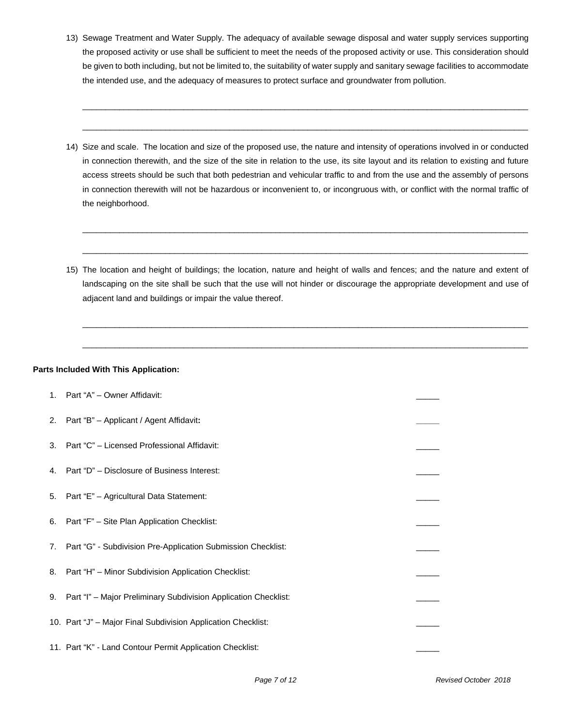13) Sewage Treatment and Water Supply. The adequacy of available sewage disposal and water supply services supporting the proposed activity or use shall be sufficient to meet the needs of the proposed activity or use. This consideration should be given to both including, but not be limited to, the suitability of water supply and sanitary sewage facilities to accommodate the intended use, and the adequacy of measures to protect surface and groundwater from pollution.

 $\overline{\phantom{a}}$  , and the contribution of the contribution of the contribution of the contribution of the contribution of the contribution of the contribution of the contribution of the contribution of the contribution of the

 $\_$  ,  $\_$  ,  $\_$  ,  $\_$  ,  $\_$  ,  $\_$  ,  $\_$  ,  $\_$  ,  $\_$  ,  $\_$  ,  $\_$  ,  $\_$  ,  $\_$  ,  $\_$  ,  $\_$  ,  $\_$  ,  $\_$  ,  $\_$  ,  $\_$  ,  $\_$  ,  $\_$  ,  $\_$  ,  $\_$  ,  $\_$  ,  $\_$  ,  $\_$  ,  $\_$  ,  $\_$  ,  $\_$  ,  $\_$  ,  $\_$  ,  $\_$  ,  $\_$  ,  $\_$  ,  $\_$  ,  $\_$  ,  $\_$  ,

14) Size and scale. The location and size of the proposed use, the nature and intensity of operations involved in or conducted in connection therewith, and the size of the site in relation to the use, its site layout and its relation to existing and future access streets should be such that both pedestrian and vehicular traffic to and from the use and the assembly of persons in connection therewith will not be hazardous or inconvenient to, or incongruous with, or conflict with the normal traffic of the neighborhood.

 $\_$  ,  $\_$  ,  $\_$  ,  $\_$  ,  $\_$  ,  $\_$  ,  $\_$  ,  $\_$  ,  $\_$  ,  $\_$  ,  $\_$  ,  $\_$  ,  $\_$  ,  $\_$  ,  $\_$  ,  $\_$  ,  $\_$  ,  $\_$  ,  $\_$  ,  $\_$  ,  $\_$  ,  $\_$  ,  $\_$  ,  $\_$  ,  $\_$  ,  $\_$  ,  $\_$  ,  $\_$  ,  $\_$  ,  $\_$  ,  $\_$  ,  $\_$  ,  $\_$  ,  $\_$  ,  $\_$  ,  $\_$  ,  $\_$  ,

 $\_$  ,  $\_$  ,  $\_$  ,  $\_$  ,  $\_$  ,  $\_$  ,  $\_$  ,  $\_$  ,  $\_$  ,  $\_$  ,  $\_$  ,  $\_$  ,  $\_$  ,  $\_$  ,  $\_$  ,  $\_$  ,  $\_$  ,  $\_$  ,  $\_$  ,  $\_$  ,  $\_$  ,  $\_$  ,  $\_$  ,  $\_$  ,  $\_$  ,  $\_$  ,  $\_$  ,  $\_$  ,  $\_$  ,  $\_$  ,  $\_$  ,  $\_$  ,  $\_$  ,  $\_$  ,  $\_$  ,  $\_$  ,  $\_$  ,

 $\_$  ,  $\_$  ,  $\_$  ,  $\_$  ,  $\_$  ,  $\_$  ,  $\_$  ,  $\_$  ,  $\_$  ,  $\_$  ,  $\_$  ,  $\_$  ,  $\_$  ,  $\_$  ,  $\_$  ,  $\_$  ,  $\_$  ,  $\_$  ,  $\_$  ,  $\_$  ,  $\_$  ,  $\_$  ,  $\_$  ,  $\_$  ,  $\_$  ,  $\_$  ,  $\_$  ,  $\_$  ,  $\_$  ,  $\_$  ,  $\_$  ,  $\_$  ,  $\_$  ,  $\_$  ,  $\_$  ,  $\_$  ,  $\_$  ,

 $\_$  ,  $\_$  ,  $\_$  ,  $\_$  ,  $\_$  ,  $\_$  ,  $\_$  ,  $\_$  ,  $\_$  ,  $\_$  ,  $\_$  ,  $\_$  ,  $\_$  ,  $\_$  ,  $\_$  ,  $\_$  ,  $\_$  ,  $\_$  ,  $\_$  ,  $\_$  ,  $\_$  ,  $\_$  ,  $\_$  ,  $\_$  ,  $\_$  ,  $\_$  ,  $\_$  ,  $\_$  ,  $\_$  ,  $\_$  ,  $\_$  ,  $\_$  ,  $\_$  ,  $\_$  ,  $\_$  ,  $\_$  ,  $\_$  ,

15) The location and height of buildings; the location, nature and height of walls and fences; and the nature and extent of landscaping on the site shall be such that the use will not hinder or discourage the appropriate development and use of adjacent land and buildings or impair the value thereof.

#### **Parts Included With This Application:**

| 1. Part "A" - Owner Affidavit:                                     |  |
|--------------------------------------------------------------------|--|
| 2. Part "B" - Applicant / Agent Affidavit:                         |  |
| 3. Part "C" - Licensed Professional Affidavit:                     |  |
| 4. Part "D" - Disclosure of Business Interest:                     |  |
| 5. Part "E" - Agricultural Data Statement:                         |  |
| 6. Part "F" - Site Plan Application Checklist:                     |  |
| 7. Part "G" - Subdivision Pre-Application Submission Checklist:    |  |
| 8. Part "H" - Minor Subdivision Application Checklist:             |  |
| 9. Part "I" - Major Preliminary Subdivision Application Checklist: |  |
| 10. Part "J" - Major Final Subdivision Application Checklist:      |  |
| 11. Part "K" - Land Contour Permit Application Checklist:          |  |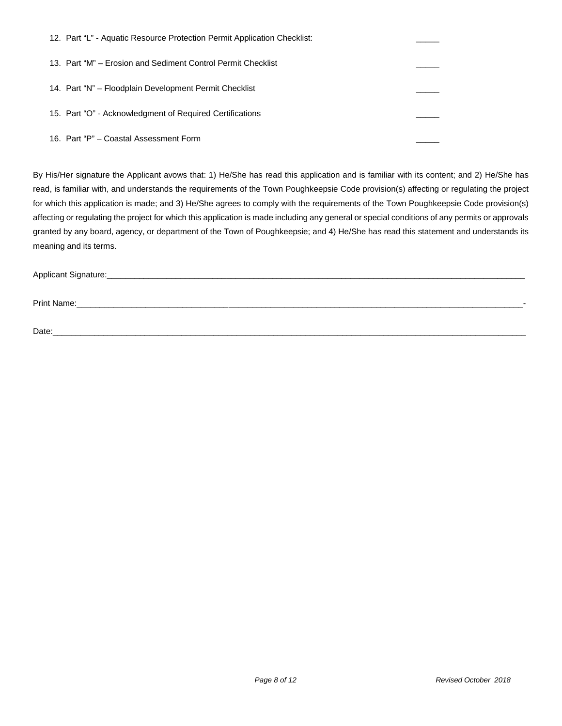| 12. Part "L" - Aquatic Resource Protection Permit Application Checklist: |  |
|--------------------------------------------------------------------------|--|
| 13. Part "M" – Erosion and Sediment Control Permit Checklist             |  |
| 14. Part "N" – Floodplain Development Permit Checklist                   |  |
| 15. Part "O" - Acknowledgment of Required Certifications                 |  |
| 16. Part "P" – Coastal Assessment Form                                   |  |

By His/Her signature the Applicant avows that: 1) He/She has read this application and is familiar with its content; and 2) He/She has read, is familiar with, and understands the requirements of the Town Poughkeepsie Code provision(s) affecting or regulating the project for which this application is made; and 3) He/She agrees to comply with the requirements of the Town Poughkeepsie Code provision(s) affecting or regulating the project for which this application is made including any general or special conditions of any permits or approvals granted by any board, agency, or department of the Town of Poughkeepsie; and 4) He/She has read this statement and understands its meaning and its terms.

Applicant Signature:\_\_\_\_\_\_\_\_\_\_\_\_\_\_\_\_\_\_\_\_\_\_\_\_\_\_\_\_\_\_\_\_\_\_\_\_\_\_\_\_\_\_\_\_\_\_\_\_\_\_\_\_\_\_\_\_\_\_\_\_\_\_\_\_\_\_\_\_\_\_\_\_\_\_\_\_\_\_\_\_\_\_\_\_\_\_\_\_\_\_\_

Print Name:\_\_\_\_\_\_\_\_\_\_\_\_\_\_\_\_\_\_\_\_\_\_\_\_\_\_\_\_\_\_\_\_\_\_\_\_\_\_\_\_\_\_\_\_\_\_\_\_\_\_\_\_\_\_\_\_\_\_\_\_\_\_\_\_\_\_\_\_\_\_\_\_\_\_\_\_\_\_\_\_\_\_\_\_\_\_\_\_\_\_\_\_\_\_\_\_\_-

Date:\_\_\_\_\_\_\_\_\_\_\_\_\_\_\_\_\_\_\_\_\_\_\_\_\_\_\_\_\_\_\_\_\_\_\_\_\_\_\_\_\_\_\_\_\_\_\_\_\_\_\_\_\_\_\_\_\_\_\_\_\_\_\_\_\_\_\_\_\_\_\_\_\_\_\_\_\_\_\_\_\_\_\_\_\_\_\_\_\_\_\_\_\_\_\_\_\_\_\_\_\_\_\_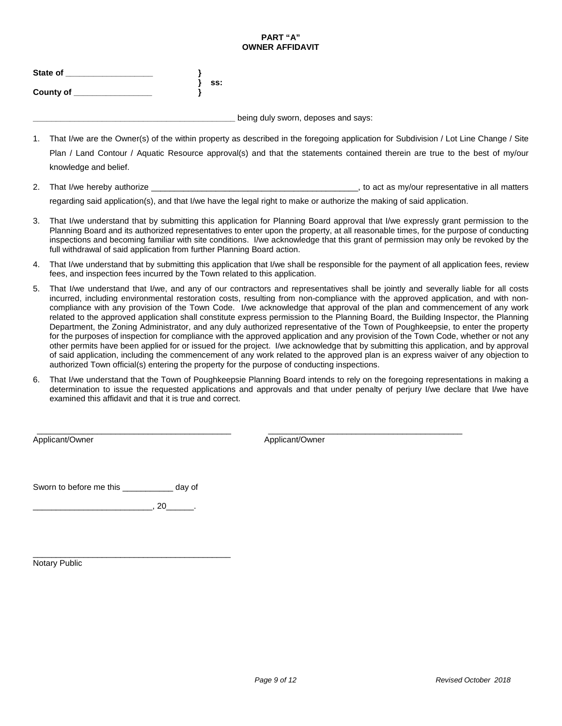#### **PART "A" OWNER AFFIDAVIT**

| State of         |     |
|------------------|-----|
|                  | SS: |
| <b>County of</b> |     |

**\_\_\_\_\_\_\_\_\_\_\_\_\_\_\_\_\_\_\_\_\_\_\_\_\_\_\_\_\_\_\_\_\_\_\_\_\_\_\_\_\_\_\_\_** being duly sworn, deposes and says:

- 1. That I/we are the Owner(s) of the within property as described in the foregoing application for Subdivision / Lot Line Change / Site Plan / Land Contour / Aquatic Resource approval(s) and that the statements contained therein are true to the best of my/our knowledge and belief.
- 2. That I/we hereby authorize \_\_\_\_\_\_\_\_\_\_\_\_\_\_\_\_\_\_\_\_\_\_\_\_\_\_\_\_\_\_\_\_\_\_\_\_\_\_\_\_\_\_\_\_\_, to act as my/our representative in all matters

regarding said application(s), and that I/we have the legal right to make or authorize the making of said application.

- 3. That I/we understand that by submitting this application for Planning Board approval that I/we expressly grant permission to the Planning Board and its authorized representatives to enter upon the property, at all reasonable times, for the purpose of conducting inspections and becoming familiar with site conditions. I/we acknowledge that this grant of permission may only be revoked by the full withdrawal of said application from further Planning Board action.
- 4. That I/we understand that by submitting this application that I/we shall be responsible for the payment of all application fees, review fees, and inspection fees incurred by the Town related to this application.
- 5. That I/we understand that I/we, and any of our contractors and representatives shall be jointly and severally liable for all costs incurred, including environmental restoration costs, resulting from non-compliance with the approved application, and with noncompliance with any provision of the Town Code. I/we acknowledge that approval of the plan and commencement of any work related to the approved application shall constitute express permission to the Planning Board, the Building Inspector, the Planning Department, the Zoning Administrator, and any duly authorized representative of the Town of Poughkeepsie, to enter the property for the purposes of inspection for compliance with the approved application and any provision of the Town Code, whether or not any other permits have been applied for or issued for the project. I/we acknowledge that by submitting this application, and by approval of said application, including the commencement of any work related to the approved plan is an express waiver of any objection to authorized Town official(s) entering the property for the purpose of conducting inspections.
- 6. That I/we understand that the Town of Poughkeepsie Planning Board intends to rely on the foregoing representations in making a determination to issue the requested applications and approvals and that under penalty of perjury I/we declare that I/we have examined this affidavit and that it is true and correct.

\_\_\_\_\_\_\_\_\_\_\_\_\_\_\_\_\_\_\_\_\_\_\_\_\_\_\_\_\_\_\_\_\_\_\_\_\_\_\_\_\_\_ \_\_\_\_\_\_\_\_\_\_\_\_\_\_\_\_\_\_\_\_\_\_\_\_\_\_\_\_\_\_\_\_\_\_\_\_\_\_\_\_\_\_ Applicant/Owner Applicant/Owner Applicant/Owner

Sworn to before me this \_\_\_\_\_\_\_\_\_\_\_ day of

\_\_\_\_\_\_\_\_\_\_\_\_\_\_\_\_\_\_\_\_\_\_\_\_\_\_, 20\_\_\_\_\_\_.

\_\_\_\_\_\_\_\_\_\_\_\_\_\_\_\_\_\_\_\_\_\_\_\_\_\_\_\_\_\_\_\_\_\_\_\_\_\_\_\_\_\_\_ Notary Public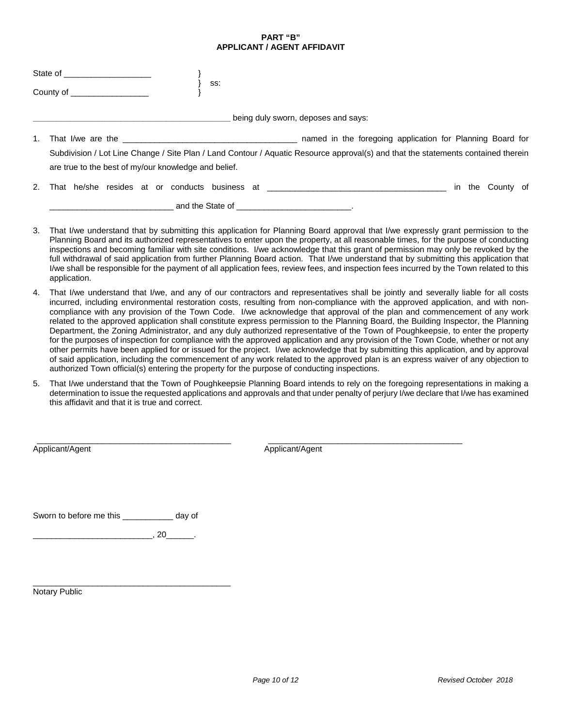#### **PART "B" APPLICANT / AGENT AFFIDAVIT**

|                                                             | State of _______________________                     |                                                                                                                                                                                                |                  |
|-------------------------------------------------------------|------------------------------------------------------|------------------------------------------------------------------------------------------------------------------------------------------------------------------------------------------------|------------------|
| $\overline{\phantom{a}}$ County of $\overline{\phantom{a}}$ |                                                      | SS:                                                                                                                                                                                            |                  |
|                                                             |                                                      | being duly sworn, deposes and says:                                                                                                                                                            |                  |
|                                                             | are true to the best of my/our knowledge and belief. | named in the foregoing application for Planning Board for<br>Subdivision / Lot Line Change / Site Plan / Land Contour / Aquatic Resource approval(s) and that the statements contained therein |                  |
| 2.                                                          |                                                      | That he/she resides at or conducts business at _________________________________                                                                                                               | in the County of |

- 3. That I/we understand that by submitting this application for Planning Board approval that I/we expressly grant permission to the Planning Board and its authorized representatives to enter upon the property, at all reasonable times, for the purpose of conducting inspections and becoming familiar with site conditions. I/we acknowledge that this grant of permission may only be revoked by the full withdrawal of said application from further Planning Board action. That I/we understand that by submitting this application that I/we shall be responsible for the payment of all application fees, review fees, and inspection fees incurred by the Town related to this application.
- 4. That I/we understand that I/we, and any of our contractors and representatives shall be jointly and severally liable for all costs incurred, including environmental restoration costs, resulting from non-compliance with the approved application, and with noncompliance with any provision of the Town Code. I/we acknowledge that approval of the plan and commencement of any work related to the approved application shall constitute express permission to the Planning Board, the Building Inspector, the Planning Department, the Zoning Administrator, and any duly authorized representative of the Town of Poughkeepsie, to enter the property for the purposes of inspection for compliance with the approved application and any provision of the Town Code, whether or not any other permits have been applied for or issued for the project. I/we acknowledge that by submitting this application, and by approval of said application, including the commencement of any work related to the approved plan is an express waiver of any objection to authorized Town official(s) entering the property for the purpose of conducting inspections.
- 5. That I/we understand that the Town of Poughkeepsie Planning Board intends to rely on the foregoing representations in making a determination to issue the requested applications and approvals and that under penalty of perjury I/we declare that I/we has examined this affidavit and that it is true and correct.

\_\_\_\_\_\_\_\_\_\_\_\_\_\_\_\_\_\_\_\_\_\_\_\_\_\_\_\_\_\_\_\_\_\_\_\_\_\_\_\_\_\_ \_\_\_\_\_\_\_\_\_\_\_\_\_\_\_\_\_\_\_\_\_\_\_\_\_\_\_\_\_\_\_\_\_\_\_\_\_\_\_\_\_\_ Applicant/Agent Applicant/Agent Applicant/Agent

Sworn to before me this \_\_\_\_\_\_\_\_\_\_\_ day of

 $\overline{\phantom{20}0}$ , 20 $\overline{\phantom{20}0}$ .

\_\_\_\_\_\_\_\_\_\_\_\_\_\_\_\_\_\_\_\_\_\_\_\_\_\_\_\_\_\_\_\_\_\_\_\_\_\_\_\_\_\_\_ Notary Public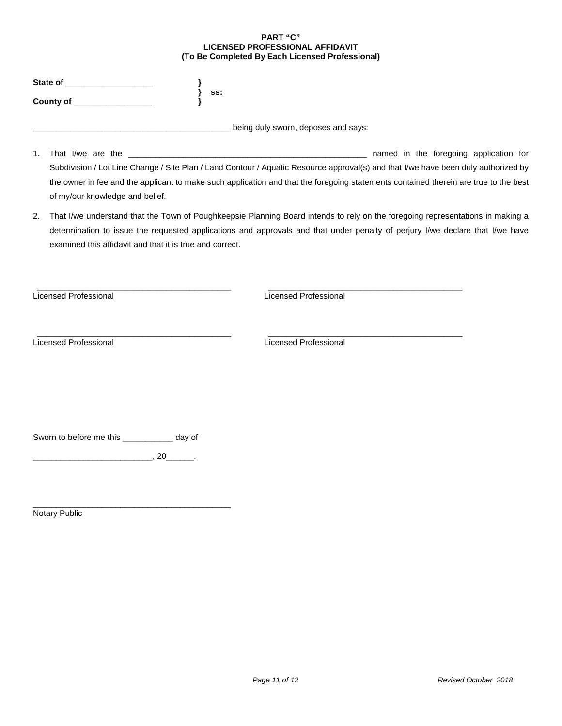#### **PART "C" LICENSED PROFESSIONAL AFFIDAVIT (To Be Completed By Each Licensed Professional)**

| State of         |     |
|------------------|-----|
|                  | SS: |
| <b>County of</b> |     |

being duly sworn, deposes and says:

- 1. That I/we are the \_\_\_\_\_\_\_\_\_\_\_\_\_\_\_\_\_\_\_\_\_\_\_\_\_\_\_\_\_\_\_\_\_\_\_\_\_\_\_\_\_\_\_\_\_\_\_\_\_\_\_\_ named in the foregoing application for Subdivision / Lot Line Change / Site Plan / Land Contour / Aquatic Resource approval(s) and that I/we have been duly authorized by the owner in fee and the applicant to make such application and that the foregoing statements contained therein are true to the best of my/our knowledge and belief.
- 2. That I/we understand that the Town of Poughkeepsie Planning Board intends to rely on the foregoing representations in making a determination to issue the requested applications and approvals and that under penalty of perjury I/we declare that I/we have examined this affidavit and that it is true and correct.

\_\_\_\_\_\_\_\_\_\_\_\_\_\_\_\_\_\_\_\_\_\_\_\_\_\_\_\_\_\_\_\_\_\_\_\_\_\_\_\_\_\_ \_\_\_\_\_\_\_\_\_\_\_\_\_\_\_\_\_\_\_\_\_\_\_\_\_\_\_\_\_\_\_\_\_\_\_\_\_\_\_\_\_\_

Licensed Professional Licensed Professional

\_\_\_\_\_\_\_\_\_\_\_\_\_\_\_\_\_\_\_\_\_\_\_\_\_\_\_\_\_\_\_\_\_\_\_\_\_\_\_\_\_\_ \_\_\_\_\_\_\_\_\_\_\_\_\_\_\_\_\_\_\_\_\_\_\_\_\_\_\_\_\_\_\_\_\_\_\_\_\_\_\_\_\_\_ Licensed Professional Licensed Professional

Sworn to before me this \_\_\_\_\_\_\_\_\_\_\_ day of

 $\overline{\phantom{a}}$ , 20 $\overline{\phantom{a}}$ .

\_\_\_\_\_\_\_\_\_\_\_\_\_\_\_\_\_\_\_\_\_\_\_\_\_\_\_\_\_\_\_\_\_\_\_\_\_\_\_\_\_\_\_ Notary Public